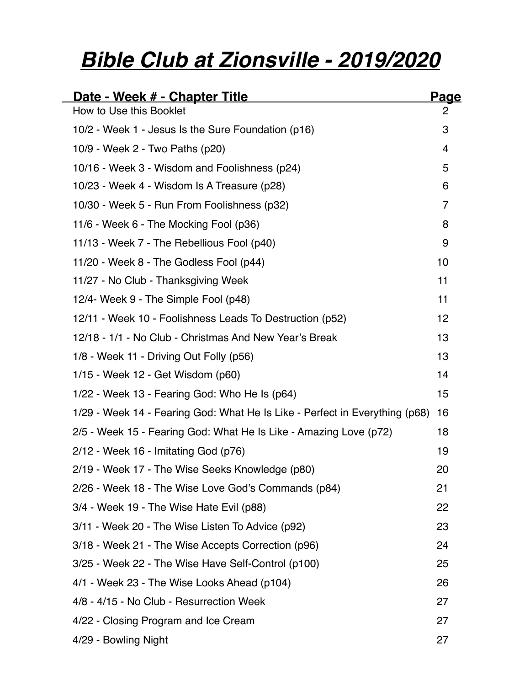# *Bible Club at Zionsville - 2019/2020*

| <u>Date - Week # - Chapter Title</u>                                        | <u>Page</u> |
|-----------------------------------------------------------------------------|-------------|
| How to Use this Booklet                                                     | 2           |
| 10/2 - Week 1 - Jesus Is the Sure Foundation (p16)                          | 3           |
| 10/9 - Week 2 - Two Paths (p20)                                             | 4           |
| 10/16 - Week 3 - Wisdom and Foolishness (p24)                               | 5           |
| 10/23 - Week 4 - Wisdom Is A Treasure (p28)                                 | 6           |
| 10/30 - Week 5 - Run From Foolishness (p32)                                 | 7           |
| 11/6 - Week 6 - The Mocking Fool (p36)                                      | 8           |
| 11/13 - Week 7 - The Rebellious Fool (p40)                                  | 9           |
| 11/20 - Week 8 - The Godless Fool (p44)                                     | 10          |
| 11/27 - No Club - Thanksgiving Week                                         | 11          |
| 12/4- Week 9 - The Simple Fool (p48)                                        | 11          |
| 12/11 - Week 10 - Foolishness Leads To Destruction (p52)                    | 12          |
| 12/18 - 1/1 - No Club - Christmas And New Year's Break                      | 13          |
| 1/8 - Week 11 - Driving Out Folly (p56)                                     | 13          |
| 1/15 - Week 12 - Get Wisdom (p60)                                           | 14          |
| 1/22 - Week 13 - Fearing God: Who He Is (p64)                               | 15          |
| 1/29 - Week 14 - Fearing God: What He Is Like - Perfect in Everything (p68) | 16          |
| 2/5 - Week 15 - Fearing God: What He Is Like - Amazing Love (p72)           | 18          |
| $2/12$ - Week 16 - Imitating God (p76)                                      | 19          |
| 2/19 - Week 17 - The Wise Seeks Knowledge (p80)                             | 20          |
| 2/26 - Week 18 - The Wise Love God's Commands (p84)                         | 21          |
| 3/4 - Week 19 - The Wise Hate Evil (p88)                                    | 22          |
| 3/11 - Week 20 - The Wise Listen To Advice (p92)                            | 23          |
| 3/18 - Week 21 - The Wise Accepts Correction (p96)                          | 24          |
| 3/25 - Week 22 - The Wise Have Self-Control (p100)                          | 25          |
| 4/1 - Week 23 - The Wise Looks Ahead (p104)                                 | 26          |
| 4/8 - 4/15 - No Club - Resurrection Week                                    | 27          |
| 4/22 - Closing Program and Ice Cream                                        | 27          |
| 4/29 - Bowling Night                                                        | 27          |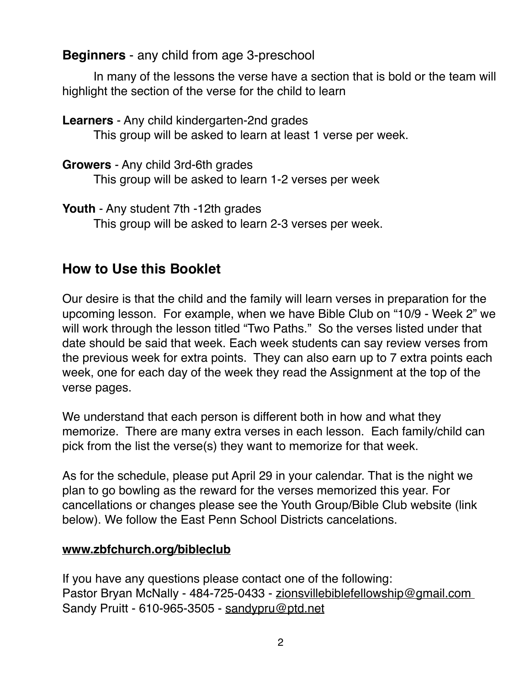#### **Beginners** - any child from age 3-preschool

In many of the lessons the verse have a section that is bold or the team will highlight the section of the verse for the child to learn

**Learners** - Any child kindergarten-2nd grades This group will be asked to learn at least 1 verse per week.

**Growers** - Any child 3rd-6th grades This group will be asked to learn 1-2 verses per week

**Youth** - Any student 7th -12th grades This group will be asked to learn 2-3 verses per week.

# <span id="page-1-0"></span>**How to Use this Booklet**

Our desire is that the child and the family will learn verses in preparation for the upcoming lesson. For example, when we have Bible Club on "10/9 - Week 2" we will work through the lesson titled "Two Paths." So the verses listed under that date should be said that week. Each week students can say review verses from the previous week for extra points. They can also earn up to 7 extra points each week, one for each day of the week they read the Assignment at the top of the verse pages.

We understand that each person is different both in how and what they memorize. There are many extra verses in each lesson. Each family/child can pick from the list the verse(s) they want to memorize for that week.

As for the schedule, please put April 29 in your calendar. That is the night we plan to go bowling as the reward for the verses memorized this year. For cancellations or changes please see the Youth Group/Bible Club website (link below). We follow the East Penn School Districts cancelations.

#### **[www.zbfchurch.org/bibleclub](http://www.zbfchurch.org/bibleclub)**

If you have any questions please contact one of the following: Pastor Bryan McNally - 484-725-0433 - zionsvillebiblefellowship@gmail.com Sandy Pruitt - 610-965-3505 - [sandypru@ptd.net](mailto:sandypru@ptd.net)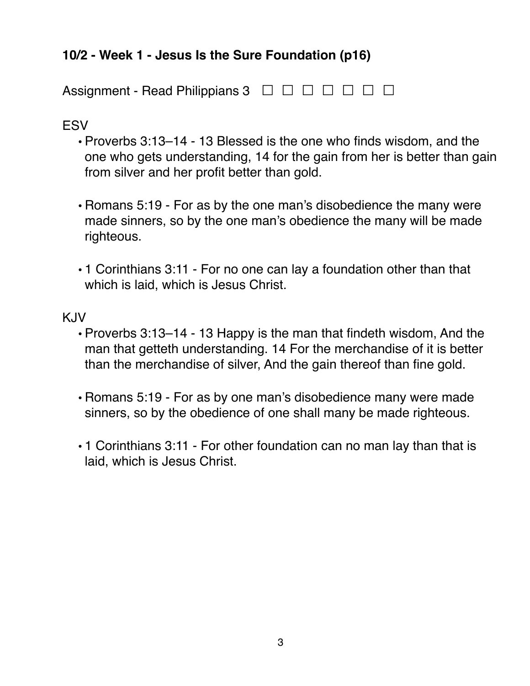# <span id="page-2-0"></span>**10/2 - Week 1 - Jesus Is the Sure Foundation (p16)**

| Assignment - Read Philippians $3 \square \square \square \square \square \square \square$ |  |
|-------------------------------------------------------------------------------------------|--|
|-------------------------------------------------------------------------------------------|--|

#### **FSV**

- Proverbs 3:13–14 13 Blessed is the one who finds wisdom, and the one who gets understanding, 14 for the gain from her is better than gain from silver and her profit better than gold.
- Romans 5:19 For as by the one man's disobedience the many were made sinners, so by the one man's obedience the many will be made righteous.
- 1 Corinthians 3:11 For no one can lay a foundation other than that which is laid, which is Jesus Christ.

- Proverbs 3:13–14 13 Happy is the man that findeth wisdom, And the man that getteth understanding. 14 For the merchandise of it is better than the merchandise of silver, And the gain thereof than fine gold.
- Romans 5:19 For as by one man's disobedience many were made sinners, so by the obedience of one shall many be made righteous.
- 1 Corinthians 3:11 For other foundation can no man lay than that is laid, which is Jesus Christ.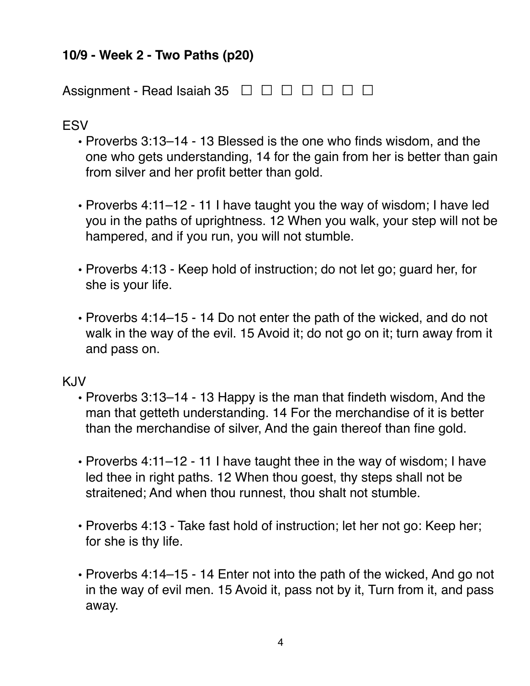## <span id="page-3-0"></span>**10/9 - Week 2 - Two Paths (p20)**

Assignment - Read Isaiah 35 <del>□ □ □ □ □ □ □</del>

**ESV** 

- **•** Proverbs 3:13–14 13 Blessed is the one who finds wisdom, and the one who gets understanding, 14 for the gain from her is better than gain from silver and her profit better than gold.
- **•** Proverbs 4:11–12 11 I have taught you the way of wisdom; I have led you in the paths of uprightness. 12 When you walk, your step will not be hampered, and if you run, you will not stumble.
- **•** Proverbs 4:13 Keep hold of instruction; do not let go; guard her, for she is your life.
- **•** Proverbs 4:14–15 14 Do not enter the path of the wicked, and do not walk in the way of the evil. 15 Avoid it; do not go on it; turn away from it and pass on.

- **•** Proverbs 3:13–14 13 Happy is the man that findeth wisdom, And the man that getteth understanding. 14 For the merchandise of it is better than the merchandise of silver, And the gain thereof than fine gold.
- **•** Proverbs 4:11–12 11 I have taught thee in the way of wisdom; I have led thee in right paths. 12 When thou goest, thy steps shall not be straitened; And when thou runnest, thou shalt not stumble.
- **•** Proverbs 4:13 Take fast hold of instruction; let her not go: Keep her; for she is thy life.
- **•** Proverbs 4:14–15 14 Enter not into the path of the wicked, And go not in the way of evil men. 15 Avoid it, pass not by it, Turn from it, and pass away.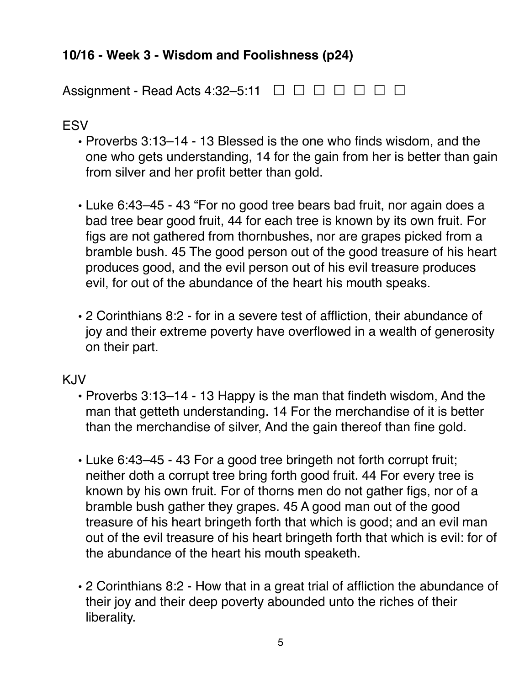# <span id="page-4-0"></span>**10/16 - Week 3 - Wisdom and Foolishness (p24)**

Assignment - Read Acts 4:32–5:11  $\Box$   $\Box$   $\Box$   $\Box$   $\Box$   $\Box$   $\Box$ 

#### **ESV**

- **•** Proverbs 3:13–14 13 Blessed is the one who finds wisdom, and the one who gets understanding, 14 for the gain from her is better than gain from silver and her profit better than gold.
- **•** Luke 6:43–45 43 "For no good tree bears bad fruit, nor again does a bad tree bear good fruit, 44 for each tree is known by its own fruit. For figs are not gathered from thornbushes, nor are grapes picked from a bramble bush. 45 The good person out of the good treasure of his heart produces good, and the evil person out of his evil treasure produces evil, for out of the abundance of the heart his mouth speaks.
- **•** 2 Corinthians 8:2 for in a severe test of affliction, their abundance of joy and their extreme poverty have overflowed in a wealth of generosity on their part.

- **•** Proverbs 3:13–14 13 Happy is the man that findeth wisdom, And the man that getteth understanding. 14 For the merchandise of it is better than the merchandise of silver, And the gain thereof than fine gold.
- **•** Luke 6:43–45 43 For a good tree bringeth not forth corrupt fruit; neither doth a corrupt tree bring forth good fruit. 44 For every tree is known by his own fruit. For of thorns men do not gather figs, nor of a bramble bush gather they grapes. 45 A good man out of the good treasure of his heart bringeth forth that which is good; and an evil man out of the evil treasure of his heart bringeth forth that which is evil: for of the abundance of the heart his mouth speaketh.
- **•** 2 Corinthians 8:2 How that in a great trial of affliction the abundance of their joy and their deep poverty abounded unto the riches of their liberality.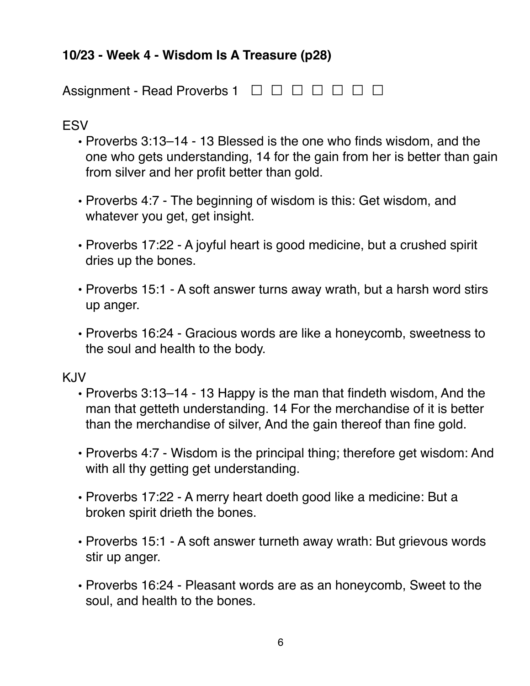# <span id="page-5-0"></span>**10/23 - Week 4 - Wisdom Is A Treasure (p28)**

Assignment - Read Proverbs 1 <del>□ □ □ □ □ □</del> □

**ESV** 

- **•** Proverbs 3:13–14 13 Blessed is the one who finds wisdom, and the one who gets understanding, 14 for the gain from her is better than gain from silver and her profit better than gold.
- **•** Proverbs 4:7 The beginning of wisdom is this: Get wisdom, and whatever you get, get insight.
- **•** Proverbs 17:22 A joyful heart is good medicine, but a crushed spirit dries up the bones.
- **•** Proverbs 15:1 A soft answer turns away wrath, but a harsh word stirs up anger.
- **•** Proverbs 16:24 Gracious words are like a honeycomb, sweetness to the soul and health to the body.

- **•** Proverbs 3:13–14 13 Happy is the man that findeth wisdom, And the man that getteth understanding. 14 For the merchandise of it is better than the merchandise of silver, And the gain thereof than fine gold.
- **•** Proverbs 4:7 Wisdom is the principal thing; therefore get wisdom: And with all thy getting get understanding.
- **•** Proverbs 17:22 A merry heart doeth good like a medicine: But a broken spirit drieth the bones.
- **•** Proverbs 15:1 A soft answer turneth away wrath: But grievous words stir up anger.
- **•** Proverbs 16:24 Pleasant words are as an honeycomb, Sweet to the soul, and health to the bones.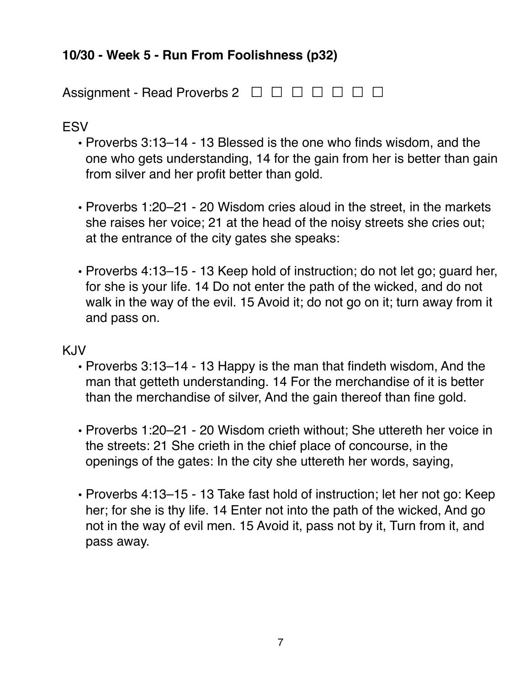# <span id="page-6-0"></span>**10/30 - Week 5 - Run From Foolishness (p32)**

Assignment - Read Proverbs 2 <del>□ □ □ □ □ □</del> □

### ESV

- **•** Proverbs 3:13–14 13 Blessed is the one who finds wisdom, and the one who gets understanding, 14 for the gain from her is better than gain from silver and her profit better than gold.
- **•** Proverbs 1:20–21 20 Wisdom cries aloud in the street, in the markets she raises her voice; 21 at the head of the noisy streets she cries out; at the entrance of the city gates she speaks:
- **•** Proverbs 4:13–15 13 Keep hold of instruction; do not let go; guard her, for she is your life. 14 Do not enter the path of the wicked, and do not walk in the way of the evil. 15 Avoid it; do not go on it; turn away from it and pass on.

- **•** Proverbs 3:13–14 13 Happy is the man that findeth wisdom, And the man that getteth understanding. 14 For the merchandise of it is better than the merchandise of silver, And the gain thereof than fine gold.
- **•** Proverbs 1:20–21 20 Wisdom crieth without; She uttereth her voice in the streets: 21 She crieth in the chief place of concourse, in the openings of the gates: In the city she uttereth her words, saying,
- **•** Proverbs 4:13–15 13 Take fast hold of instruction; let her not go: Keep her; for she is thy life. 14 Enter not into the path of the wicked, And go not in the way of evil men. 15 Avoid it, pass not by it, Turn from it, and pass away.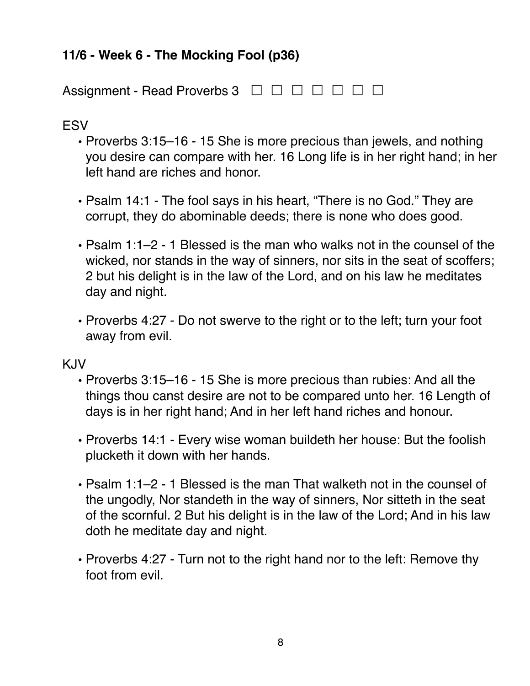# <span id="page-7-0"></span>**11/6 - Week 6 - The Mocking Fool (p36)**

Assignment - Read Proverbs 3 <del>□ □ □ □ □ □</del> □

### **ESV**

- **•** Proverbs 3:15–16 15 She is more precious than jewels, and nothing you desire can compare with her. 16 Long life is in her right hand; in her left hand are riches and honor.
- **•** Psalm 14:1 The fool says in his heart, "There is no God." They are corrupt, they do abominable deeds; there is none who does good.
- **•** Psalm 1:1–2 1 Blessed is the man who walks not in the counsel of the wicked, nor stands in the way of sinners, nor sits in the seat of scoffers; 2 but his delight is in the law of the Lord, and on his law he meditates day and night.
- **•** Proverbs 4:27 Do not swerve to the right or to the left; turn your foot away from evil.

- **•** Proverbs 3:15–16 15 She is more precious than rubies: And all the things thou canst desire are not to be compared unto her. 16 Length of days is in her right hand; And in her left hand riches and honour.
- **•** Proverbs 14:1 Every wise woman buildeth her house: But the foolish plucketh it down with her hands.
- **•** Psalm 1:1–2 1 Blessed is the man That walketh not in the counsel of the ungodly, Nor standeth in the way of sinners, Nor sitteth in the seat of the scornful. 2 But his delight is in the law of the Lord; And in his law doth he meditate day and night.
- **•** Proverbs 4:27 Turn not to the right hand nor to the left: Remove thy foot from evil.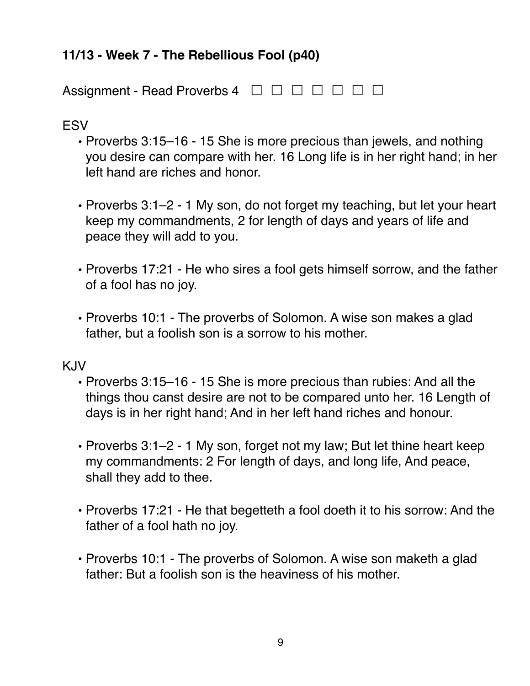# <span id="page-8-0"></span>**11/13 - Week 7 - The Rebellious Fool (p40)**

Assignment - Read Proverbs 4 <del>□ □ □ □ □ □</del> □

**ESV** 

- **•** Proverbs 3:15–16 15 She is more precious than jewels, and nothing you desire can compare with her. 16 Long life is in her right hand; in her left hand are riches and honor.
- **•** Proverbs 3:1–2 1 My son, do not forget my teaching, but let your heart keep my commandments, 2 for length of days and years of life and peace they will add to you.
- **•** Proverbs 17:21 He who sires a fool gets himself sorrow, and the father of a fool has no joy.
- **•** Proverbs 10:1 The proverbs of Solomon. A wise son makes a glad father, but a foolish son is a sorrow to his mother.

- **•** Proverbs 3:15–16 15 She is more precious than rubies: And all the things thou canst desire are not to be compared unto her. 16 Length of days is in her right hand; And in her left hand riches and honour.
- **•** Proverbs 3:1–2 1 My son, forget not my law; But let thine heart keep my commandments: 2 For length of days, and long life, And peace, shall they add to thee.
- **•** Proverbs 17:21 He that begetteth a fool doeth it to his sorrow: And the father of a fool hath no joy.
- **•** Proverbs 10:1 The proverbs of Solomon. A wise son maketh a glad father: But a foolish son is the heaviness of his mother.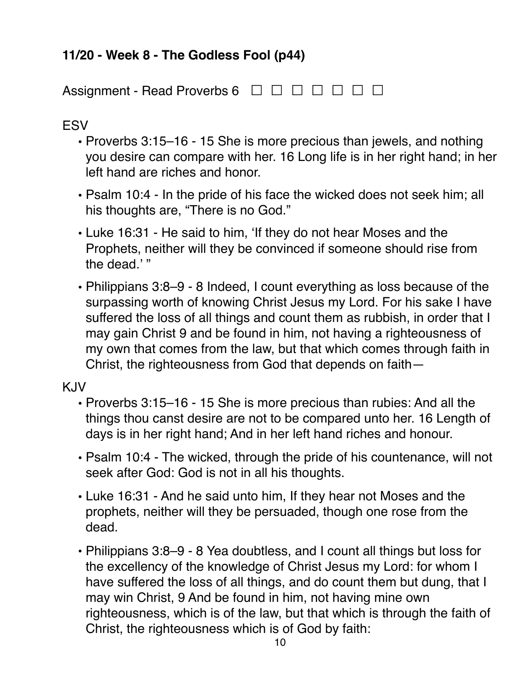# <span id="page-9-0"></span>**11/20 - Week 8 - The Godless Fool (p44)**

Assignment - Read Proverbs 6 <del></del> □ □ □ □ □ □ □

**ESV** 

- **•** Proverbs 3:15–16 15 She is more precious than jewels, and nothing you desire can compare with her. 16 Long life is in her right hand; in her left hand are riches and honor.
- **•** Psalm 10:4 In the pride of his face the wicked does not seek him; all his thoughts are, "There is no God."
- **•** Luke 16:31 He said to him, 'If they do not hear Moses and the Prophets, neither will they be convinced if someone should rise from the dead.'"
- **•** Philippians 3:8–9 8 Indeed, I count everything as loss because of the surpassing worth of knowing Christ Jesus my Lord. For his sake I have suffered the loss of all things and count them as rubbish, in order that I may gain Christ 9 and be found in him, not having a righteousness of my own that comes from the law, but that which comes through faith in Christ, the righteousness from God that depends on faith—

- **•** Proverbs 3:15–16 15 She is more precious than rubies: And all the things thou canst desire are not to be compared unto her. 16 Length of days is in her right hand; And in her left hand riches and honour.
- **•** Psalm 10:4 The wicked, through the pride of his countenance, will not seek after God: God is not in all his thoughts.
- **•** Luke 16:31 And he said unto him, If they hear not Moses and the prophets, neither will they be persuaded, though one rose from the dead.
- **•** Philippians 3:8–9 8 Yea doubtless, and I count all things but loss for the excellency of the knowledge of Christ Jesus my Lord: for whom I have suffered the loss of all things, and do count them but dung, that I may win Christ, 9 And be found in him, not having mine own righteousness, which is of the law, but that which is through the faith of Christ, the righteousness which is of God by faith: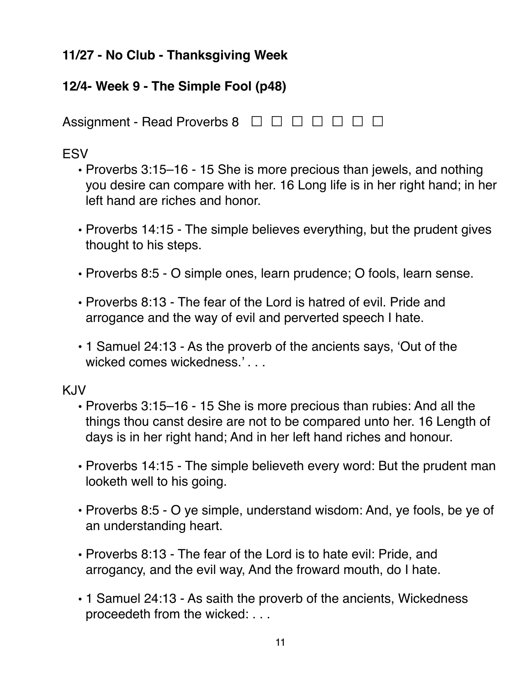# <span id="page-10-0"></span>**11/27 - No Club - Thanksgiving Week**

# <span id="page-10-1"></span>**12/4- Week 9 - The Simple Fool (p48)**

Assignment - Read Proverbs 8 <del></del> □ □ □ □ □ □ □

# **ESV**

- **•** Proverbs 3:15–16 15 She is more precious than jewels, and nothing you desire can compare with her. 16 Long life is in her right hand; in her left hand are riches and honor.
- **•** Proverbs 14:15 The simple believes everything, but the prudent gives thought to his steps.
- **•** Proverbs 8:5 O simple ones, learn prudence; O fools, learn sense.
- **•** Proverbs 8:13 The fear of the Lord is hatred of evil. Pride and arrogance and the way of evil and perverted speech I hate.
- **•** 1 Samuel 24:13 As the proverb of the ancients says, 'Out of the wicked comes wickedness.'...

- **•** Proverbs 3:15–16 15 She is more precious than rubies: And all the things thou canst desire are not to be compared unto her. 16 Length of days is in her right hand; And in her left hand riches and honour.
- **•** Proverbs 14:15 The simple believeth every word: But the prudent man looketh well to his going.
- **•** Proverbs 8:5 O ye simple, understand wisdom: And, ye fools, be ye of an understanding heart.
- **•** Proverbs 8:13 The fear of the Lord is to hate evil: Pride, and arrogancy, and the evil way, And the froward mouth, do I hate.
- **•** 1 Samuel 24:13 As saith the proverb of the ancients, Wickedness proceedeth from the wicked: . . .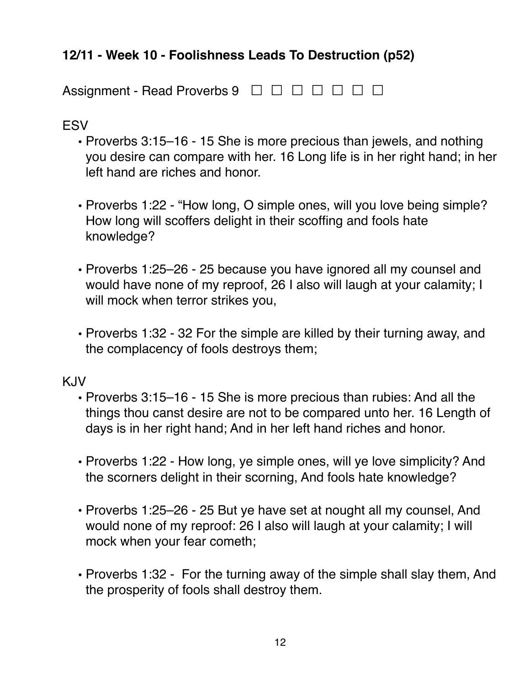# <span id="page-11-0"></span>**12/11 - Week 10 - Foolishness Leads To Destruction (p52)**

| Assignment - Read Proverbs 9 □ □ □ □ □ □ □ |  |
|--------------------------------------------|--|
|--------------------------------------------|--|

#### **FSV**

- **•** Proverbs 3:15–16 15 She is more precious than jewels, and nothing you desire can compare with her. 16 Long life is in her right hand; in her left hand are riches and honor.
- **•** Proverbs 1:22 "How long, O simple ones, will you love being simple? How long will scoffers delight in their scoffing and fools hate knowledge?
- **•** Proverbs 1:25–26 25 because you have ignored all my counsel and would have none of my reproof, 26 I also will laugh at your calamity; I will mock when terror strikes you,
- **•** Proverbs 1:32 32 For the simple are killed by their turning away, and the complacency of fools destroys them;

- **•** Proverbs 3:15–16 15 She is more precious than rubies: And all the things thou canst desire are not to be compared unto her. 16 Length of days is in her right hand; And in her left hand riches and honor.
- **•** Proverbs 1:22 How long, ye simple ones, will ye love simplicity? And the scorners delight in their scorning, And fools hate knowledge?
- **•** Proverbs 1:25–26 25 But ye have set at nought all my counsel, And would none of my reproof: 26 I also will laugh at your calamity; I will mock when your fear cometh;
- **•** Proverbs 1:32 For the turning away of the simple shall slay them, And the prosperity of fools shall destroy them.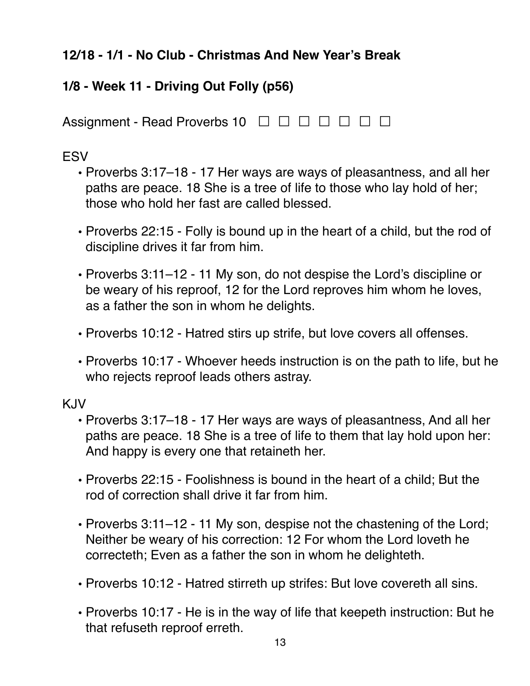# <span id="page-12-0"></span>**12/18 - 1/1 - No Club - Christmas And New Year's Break**

# <span id="page-12-1"></span>**1/8 - Week 11 - Driving Out Folly (p56)**

Assignment - Read Proverbs 10 <del></del> **□ □ □ □** □ □ □

#### **ESV**

- **•** Proverbs 3:17–18 17 Her ways are ways of pleasantness, and all her paths are peace. 18 She is a tree of life to those who lay hold of her; those who hold her fast are called blessed.
- **•** Proverbs 22:15 Folly is bound up in the heart of a child, but the rod of discipline drives it far from him.
- **•** Proverbs 3:11–12 11 My son, do not despise the Lord's discipline or be weary of his reproof, 12 for the Lord reproves him whom he loves, as a father the son in whom he delights.
- **•** Proverbs 10:12 Hatred stirs up strife, but love covers all offenses.
- **•** Proverbs 10:17 Whoever heeds instruction is on the path to life, but he who rejects reproof leads others astray.

- **•** Proverbs 3:17–18 17 Her ways are ways of pleasantness, And all her paths are peace. 18 She is a tree of life to them that lay hold upon her: And happy is every one that retaineth her.
- **•** Proverbs 22:15 Foolishness is bound in the heart of a child; But the rod of correction shall drive it far from him.
- **•** Proverbs 3:11–12 11 My son, despise not the chastening of the Lord; Neither be weary of his correction: 12 For whom the Lord loveth he correcteth; Even as a father the son in whom he delighteth.
- **•** Proverbs 10:12 Hatred stirreth up strifes: But love covereth all sins.
- **•** Proverbs 10:17 He is in the way of life that keepeth instruction: But he that refuseth reproof erreth.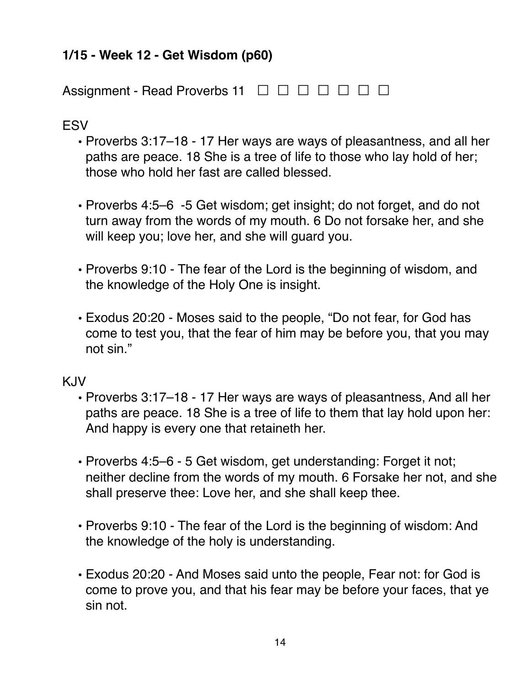# <span id="page-13-0"></span>**1/15 - Week 12 - Get Wisdom (p60)**

Assignment - Read Proverbs 11 <del>□ □ □ □ □ □</del> □

**ESV** 

- **•** Proverbs 3:17–18 17 Her ways are ways of pleasantness, and all her paths are peace. 18 She is a tree of life to those who lay hold of her; those who hold her fast are called blessed.
- **•** Proverbs 4:5–6 -5 Get wisdom; get insight; do not forget, and do not turn away from the words of my mouth. 6 Do not forsake her, and she will keep you; love her, and she will guard you.
- **•** Proverbs 9:10 The fear of the Lord is the beginning of wisdom, and the knowledge of the Holy One is insight.
- **•** Exodus 20:20 Moses said to the people, "Do not fear, for God has come to test you, that the fear of him may be before you, that you may not sin."

- **•** Proverbs 3:17–18 17 Her ways are ways of pleasantness, And all her paths are peace. 18 She is a tree of life to them that lay hold upon her: And happy is every one that retaineth her.
- **•** Proverbs 4:5–6 5 Get wisdom, get understanding: Forget it not; neither decline from the words of my mouth. 6 Forsake her not, and she shall preserve thee: Love her, and she shall keep thee.
- **•** Proverbs 9:10 The fear of the Lord is the beginning of wisdom: And the knowledge of the holy is understanding.
- **•** Exodus 20:20 And Moses said unto the people, Fear not: for God is come to prove you, and that his fear may be before your faces, that ye sin not.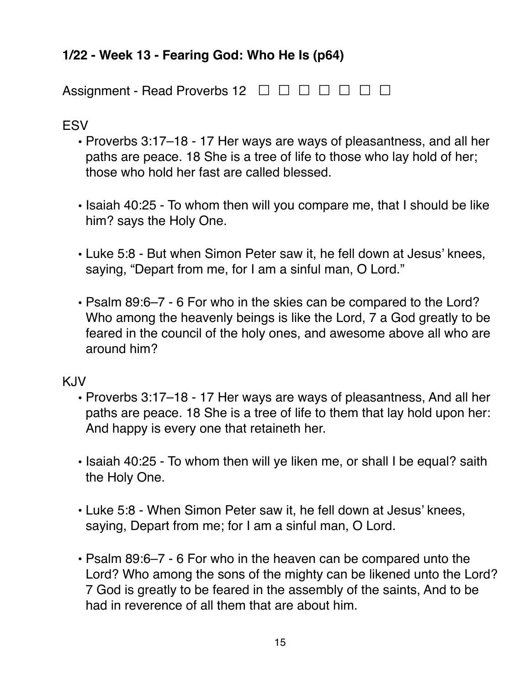# <span id="page-14-0"></span>**1/22 - Week 13 - Fearing God: Who He Is (p64)**

Assignment - Read Proverbs 12 <del>□ □ □ □ □ □</del> □

# **ESV**

- **•** Proverbs 3:17–18 17 Her ways are ways of pleasantness, and all her paths are peace. 18 She is a tree of life to those who lay hold of her; those who hold her fast are called blessed.
- **•** Isaiah 40:25 To whom then will you compare me, that I should be like him? says the Holy One.
- **•** Luke 5:8 But when Simon Peter saw it, he fell down at Jesus' knees, saying, "Depart from me, for I am a sinful man, O Lord."
- **•** Psalm 89:6–7 6 For who in the skies can be compared to the Lord? Who among the heavenly beings is like the Lord, 7 a God greatly to be feared in the council of the holy ones, and awesome above all who are around him?

- **•** Proverbs 3:17–18 17 Her ways are ways of pleasantness, And all her paths are peace. 18 She is a tree of life to them that lay hold upon her: And happy is every one that retaineth her.
- **•** Isaiah 40:25 To whom then will ye liken me, or shall I be equal? saith the Holy One.
- **•** Luke 5:8 When Simon Peter saw it, he fell down at Jesus' knees, saying, Depart from me; for I am a sinful man, O Lord.
- **•** Psalm 89:6–7 6 For who in the heaven can be compared unto the Lord? Who among the sons of the mighty can be likened unto the Lord? 7 God is greatly to be feared in the assembly of the saints, And to be had in reverence of all them that are about him.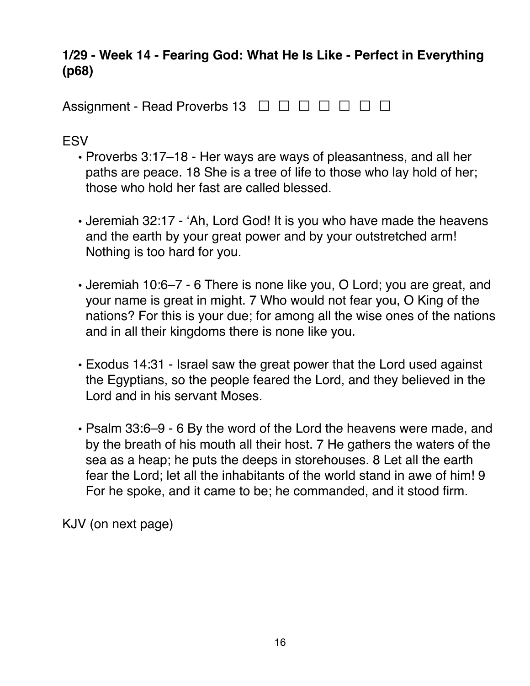## <span id="page-15-0"></span>**1/29 - Week 14 - Fearing God: What He Is Like - Perfect in Everything (p68)**

Assignment - Read Proverbs 13 <del>□ □ □ □ □ □</del> □

**ESV** 

- **•** Proverbs 3:17–18 Her ways are ways of pleasantness, and all her paths are peace. 18 She is a tree of life to those who lay hold of her; those who hold her fast are called blessed.
- **•** Jeremiah 32:17 'Ah, Lord God! It is you who have made the heavens and the earth by your great power and by your outstretched arm! Nothing is too hard for you.
- **•** Jeremiah 10:6–7 6 There is none like you, O Lord; you are great, and your name is great in might. 7 Who would not fear you, O King of the nations? For this is your due; for among all the wise ones of the nations and in all their kingdoms there is none like you.
- **•** Exodus 14:31 Israel saw the great power that the Lord used against the Egyptians, so the people feared the Lord, and they believed in the Lord and in his servant Moses.
- **•** Psalm 33:6–9 6 By the word of the Lord the heavens were made, and by the breath of his mouth all their host. 7 He gathers the waters of the sea as a heap; he puts the deeps in storehouses. 8 Let all the earth fear the Lord; let all the inhabitants of the world stand in awe of him! 9 For he spoke, and it came to be; he commanded, and it stood firm.

KJV (on next page)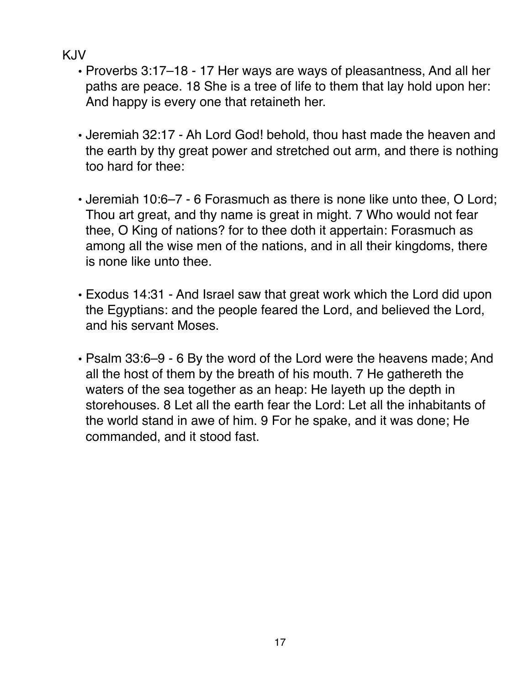- **•** Proverbs 3:17–18 17 Her ways are ways of pleasantness, And all her paths are peace. 18 She is a tree of life to them that lay hold upon her: And happy is every one that retaineth her.
- **•** Jeremiah 32:17 Ah Lord God! behold, thou hast made the heaven and the earth by thy great power and stretched out arm, and there is nothing too hard for thee:
- **•** Jeremiah 10:6–7 6 Forasmuch as there is none like unto thee, O Lord; Thou art great, and thy name is great in might. 7 Who would not fear thee, O King of nations? for to thee doth it appertain: Forasmuch as among all the wise men of the nations, and in all their kingdoms, there is none like unto thee.
- **•** Exodus 14:31 And Israel saw that great work which the Lord did upon the Egyptians: and the people feared the Lord, and believed the Lord, and his servant Moses.
- **•** Psalm 33:6–9 6 By the word of the Lord were the heavens made; And all the host of them by the breath of his mouth. 7 He gathereth the waters of the sea together as an heap: He layeth up the depth in storehouses. 8 Let all the earth fear the Lord: Let all the inhabitants of the world stand in awe of him. 9 For he spake, and it was done; He commanded, and it stood fast.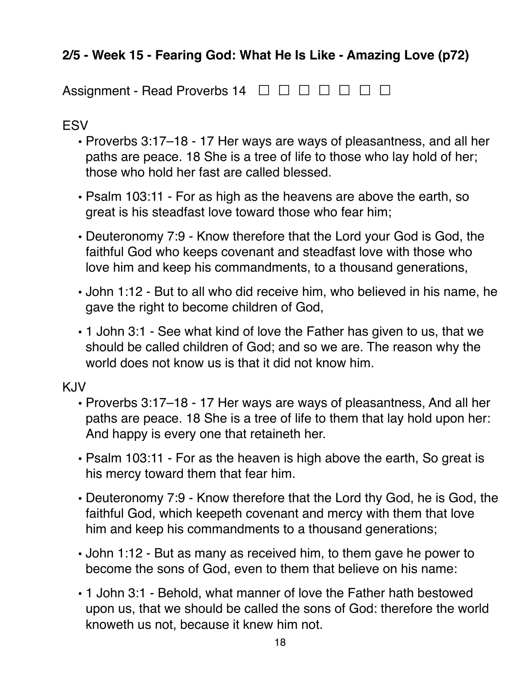# <span id="page-17-0"></span>**2/5 - Week 15 - Fearing God: What He Is Like - Amazing Love (p72)**

Assignment - Read Proverbs 14 <del></del> □ □ □ □ □ □ □

#### ESV

- **•** Proverbs 3:17–18 17 Her ways are ways of pleasantness, and all her paths are peace. 18 She is a tree of life to those who lay hold of her; those who hold her fast are called blessed.
- **•** Psalm 103:11 For as high as the heavens are above the earth, so great is his steadfast love toward those who fear him;
- **•** Deuteronomy 7:9 Know therefore that the Lord your God is God, the faithful God who keeps covenant and steadfast love with those who love him and keep his commandments, to a thousand generations,
- **•** John 1:12 But to all who did receive him, who believed in his name, he gave the right to become children of God,
- **•** 1 John 3:1 See what kind of love the Father has given to us, that we should be called children of God; and so we are. The reason why the world does not know us is that it did not know him.

- **•** Proverbs 3:17–18 17 Her ways are ways of pleasantness, And all her paths are peace. 18 She is a tree of life to them that lay hold upon her: And happy is every one that retaineth her.
- **•** Psalm 103:11 For as the heaven is high above the earth, So great is his mercy toward them that fear him.
- **•** Deuteronomy 7:9 Know therefore that the Lord thy God, he is God, the faithful God, which keepeth covenant and mercy with them that love him and keep his commandments to a thousand generations;
- **•** John 1:12 But as many as received him, to them gave he power to become the sons of God, even to them that believe on his name:
- **•** 1 John 3:1 Behold, what manner of love the Father hath bestowed upon us, that we should be called the sons of God: therefore the world knoweth us not, because it knew him not.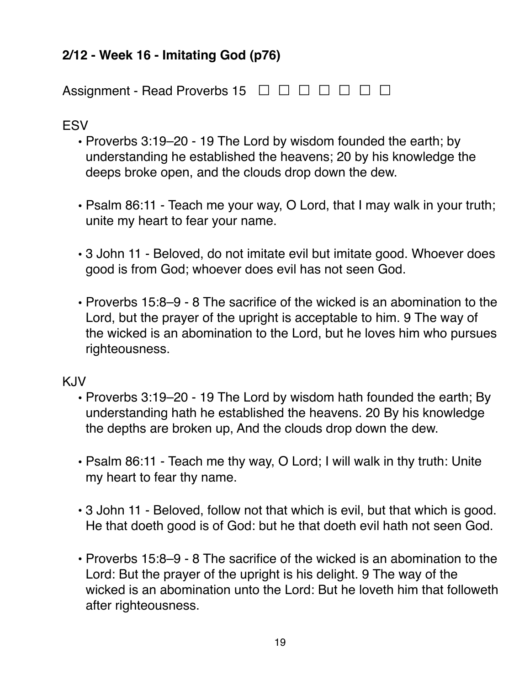# <span id="page-18-0"></span>**2/12 - Week 16 - Imitating God (p76)**

Assignment - Read Proverbs 15 <del>□ □ □ □ □ □</del> □

#### ESV

- **•** Proverbs 3:19–20 19 The Lord by wisdom founded the earth; by understanding he established the heavens; 20 by his knowledge the deeps broke open, and the clouds drop down the dew.
- **•** Psalm 86:11 Teach me your way, O Lord, that I may walk in your truth; unite my heart to fear your name.
- **•** 3 John 11 Beloved, do not imitate evil but imitate good. Whoever does good is from God; whoever does evil has not seen God.
- **•** Proverbs 15:8–9 8 The sacrifice of the wicked is an abomination to the Lord, but the prayer of the upright is acceptable to him. 9 The way of the wicked is an abomination to the Lord, but he loves him who pursues righteousness.

- **•** Proverbs 3:19–20 19 The Lord by wisdom hath founded the earth; By understanding hath he established the heavens. 20 By his knowledge the depths are broken up, And the clouds drop down the dew.
- **•** Psalm 86:11 Teach me thy way, O Lord; I will walk in thy truth: Unite my heart to fear thy name.
- **•** 3 John 11 Beloved, follow not that which is evil, but that which is good. He that doeth good is of God: but he that doeth evil hath not seen God.
- **•** Proverbs 15:8–9 8 The sacrifice of the wicked is an abomination to the Lord: But the prayer of the upright is his delight. 9 The way of the wicked is an abomination unto the Lord: But he loveth him that followeth after righteousness.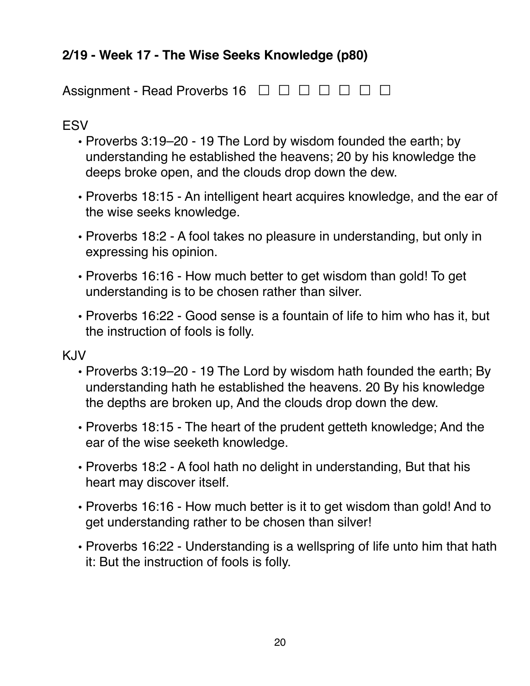# <span id="page-19-0"></span>**2/19 - Week 17 - The Wise Seeks Knowledge (p80)**

Assignment - Read Proverbs 16 <del></del> **□ □ □ □** □ □ □

#### ESV

- **•** Proverbs 3:19–20 19 The Lord by wisdom founded the earth; by understanding he established the heavens; 20 by his knowledge the deeps broke open, and the clouds drop down the dew.
- **•** Proverbs 18:15 An intelligent heart acquires knowledge, and the ear of the wise seeks knowledge.
- **•** Proverbs 18:2 A fool takes no pleasure in understanding, but only in expressing his opinion.
- **•** Proverbs 16:16 How much better to get wisdom than gold! To get understanding is to be chosen rather than silver.
- **•** Proverbs 16:22 Good sense is a fountain of life to him who has it, but the instruction of fools is folly.

- **•** Proverbs 3:19–20 19 The Lord by wisdom hath founded the earth; By understanding hath he established the heavens. 20 By his knowledge the depths are broken up, And the clouds drop down the dew.
- **•** Proverbs 18:15 The heart of the prudent getteth knowledge; And the ear of the wise seeketh knowledge.
- **•** Proverbs 18:2 A fool hath no delight in understanding, But that his heart may discover itself.
- **•** Proverbs 16:16 How much better is it to get wisdom than gold! And to get understanding rather to be chosen than silver!
- **•** Proverbs 16:22 Understanding is a wellspring of life unto him that hath it: But the instruction of fools is folly.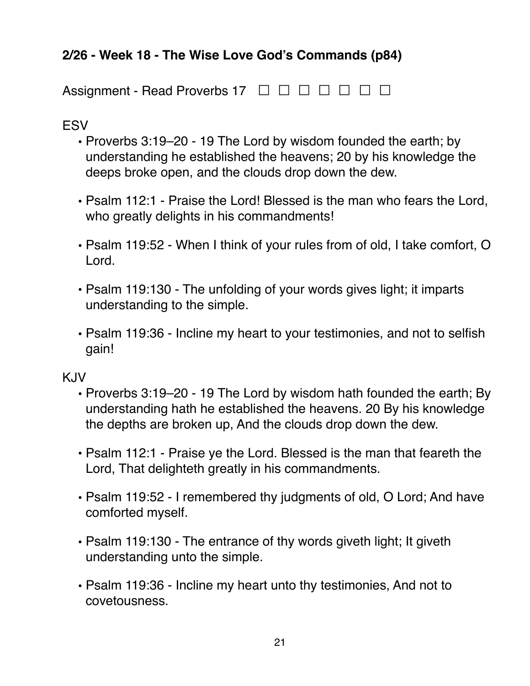# <span id="page-20-0"></span>**2/26 - Week 18 - The Wise Love God's Commands (p84)**

Assignment - Read Proverbs 17 <del>□ □ □ □ □ □</del> □

# ESV

- **•** Proverbs 3:19–20 19 The Lord by wisdom founded the earth; by understanding he established the heavens; 20 by his knowledge the deeps broke open, and the clouds drop down the dew.
- **•** Psalm 112:1 Praise the Lord! Blessed is the man who fears the Lord, who greatly delights in his commandments!
- **•** Psalm 119:52 When I think of your rules from of old, I take comfort, O Lord.
- **•** Psalm 119:130 The unfolding of your words gives light; it imparts understanding to the simple.
- **•** Psalm 119:36 Incline my heart to your testimonies, and not to selfish gain!

- **•** Proverbs 3:19–20 19 The Lord by wisdom hath founded the earth; By understanding hath he established the heavens. 20 By his knowledge the depths are broken up, And the clouds drop down the dew.
- **•** Psalm 112:1 Praise ye the Lord. Blessed is the man that feareth the Lord, That delighteth greatly in his commandments.
- **•** Psalm 119:52 I remembered thy judgments of old, O Lord; And have comforted myself.
- **•** Psalm 119:130 The entrance of thy words giveth light; It giveth understanding unto the simple.
- **•** Psalm 119:36 Incline my heart unto thy testimonies, And not to covetousness.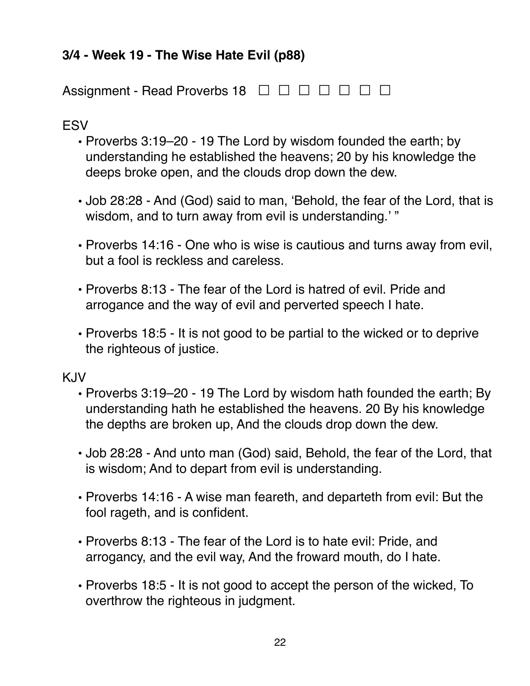# <span id="page-21-0"></span>**3/4 - Week 19 - The Wise Hate Evil (p88)**

Assignment - Read Proverbs 18 <del>□ □ □ □ □ □</del> □

### ESV

- **•** Proverbs 3:19–20 19 The Lord by wisdom founded the earth; by understanding he established the heavens; 20 by his knowledge the deeps broke open, and the clouds drop down the dew.
- **•** Job 28:28 And (God) said to man, 'Behold, the fear of the Lord, that is wisdom, and to turn away from evil is understanding.' "
- **•** Proverbs 14:16 One who is wise is cautious and turns away from evil, but a fool is reckless and careless.
- **•** Proverbs 8:13 The fear of the Lord is hatred of evil. Pride and arrogance and the way of evil and perverted speech I hate.
- **•** Proverbs 18:5 It is not good to be partial to the wicked or to deprive the righteous of justice.

- **•** Proverbs 3:19–20 19 The Lord by wisdom hath founded the earth; By understanding hath he established the heavens. 20 By his knowledge the depths are broken up, And the clouds drop down the dew.
- **•** Job 28:28 And unto man (God) said, Behold, the fear of the Lord, that is wisdom; And to depart from evil is understanding.
- **•** Proverbs 14:16 A wise man feareth, and departeth from evil: But the fool rageth, and is confident.
- **•** Proverbs 8:13 The fear of the Lord is to hate evil: Pride, and arrogancy, and the evil way, And the froward mouth, do I hate.
- **•** Proverbs 18:5 It is not good to accept the person of the wicked, To overthrow the righteous in judgment.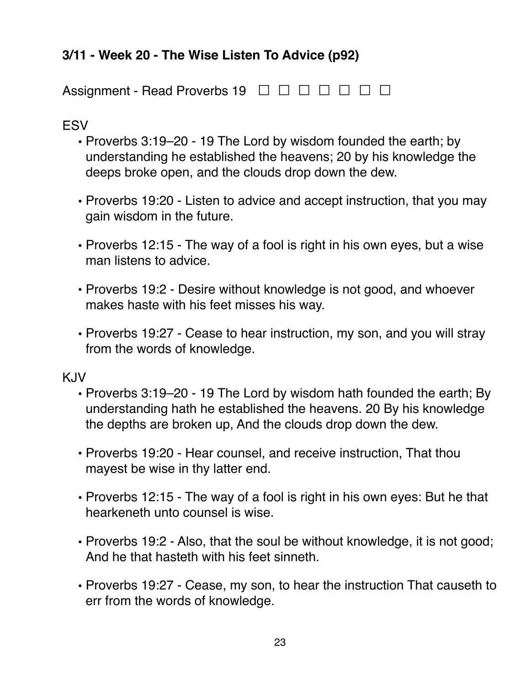# <span id="page-22-0"></span>**3/11 - Week 20 - The Wise Listen To Advice (p92)**

Assignment - Read Proverbs 19 <del>□ □ □ □ □ □</del> □

#### **ESV**

- **•** Proverbs 3:19–20 19 The Lord by wisdom founded the earth; by understanding he established the heavens; 20 by his knowledge the deeps broke open, and the clouds drop down the dew.
- **•** Proverbs 19:20 Listen to advice and accept instruction, that you may gain wisdom in the future.
- **•** Proverbs 12:15 The way of a fool is right in his own eyes, but a wise man listens to advice.
- **•** Proverbs 19:2 Desire without knowledge is not good, and whoever makes haste with his feet misses his way.
- **•** Proverbs 19:27 Cease to hear instruction, my son, and you will stray from the words of knowledge.

- **•** Proverbs 3:19–20 19 The Lord by wisdom hath founded the earth; By understanding hath he established the heavens. 20 By his knowledge the depths are broken up, And the clouds drop down the dew.
- **•** Proverbs 19:20 Hear counsel, and receive instruction, That thou mayest be wise in thy latter end.
- **•** Proverbs 12:15 The way of a fool is right in his own eyes: But he that hearkeneth unto counsel is wise.
- **•** Proverbs 19:2 Also, that the soul be without knowledge, it is not good; And he that hasteth with his feet sinneth.
- **•** Proverbs 19:27 Cease, my son, to hear the instruction That causeth to err from the words of knowledge.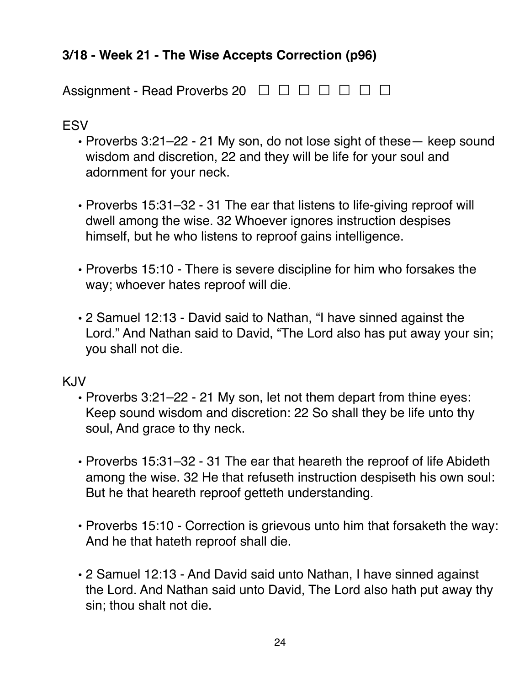# <span id="page-23-0"></span>**3/18 - Week 21 - The Wise Accepts Correction (p96)**

Assignment - Read Proverbs 20  $\Box$   $\Box$   $\Box$   $\Box$   $\Box$   $\Box$   $\Box$ 

#### **ESV**

- **•** Proverbs 3:21–22 21 My son, do not lose sight of these— keep sound wisdom and discretion, 22 and they will be life for your soul and adornment for your neck.
- **•** Proverbs 15:31–32 31 The ear that listens to life-giving reproof will dwell among the wise. 32 Whoever ignores instruction despises himself, but he who listens to reproof gains intelligence.
- **•** Proverbs 15:10 There is severe discipline for him who forsakes the way; whoever hates reproof will die.
- **•** 2 Samuel 12:13 David said to Nathan, "I have sinned against the Lord." And Nathan said to David, "The Lord also has put away your sin; you shall not die.

- **•** Proverbs 3:21–22 21 My son, let not them depart from thine eyes: Keep sound wisdom and discretion: 22 So shall they be life unto thy soul, And grace to thy neck.
- **•** Proverbs 15:31–32 31 The ear that heareth the reproof of life Abideth among the wise. 32 He that refuseth instruction despiseth his own soul: But he that heareth reproof getteth understanding.
- **•** Proverbs 15:10 Correction is grievous unto him that forsaketh the way: And he that hateth reproof shall die.
- **•** 2 Samuel 12:13 And David said unto Nathan, I have sinned against the Lord. And Nathan said unto David, The Lord also hath put away thy sin; thou shalt not die.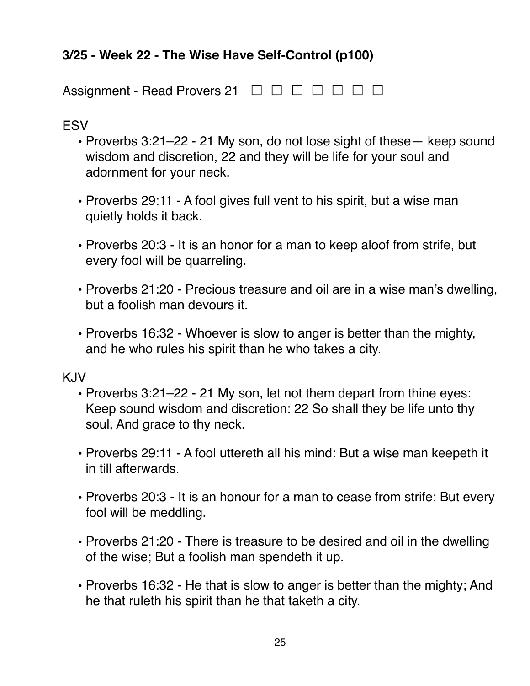# <span id="page-24-0"></span>**3/25 - Week 22 - The Wise Have Self-Control (p100)**

Assignment - Read Provers 21 <del>□ □ □ □ □ □</del> □

ESV

- **•** Proverbs 3:21–22 21 My son, do not lose sight of these— keep sound wisdom and discretion, 22 and they will be life for your soul and adornment for your neck.
- **•** Proverbs 29:11 A fool gives full vent to his spirit, but a wise man quietly holds it back.
- **•** Proverbs 20:3 It is an honor for a man to keep aloof from strife, but every fool will be quarreling.
- **•** Proverbs 21:20 Precious treasure and oil are in a wise man's dwelling, but a foolish man devours it.
- **•** Proverbs 16:32 Whoever is slow to anger is better than the mighty, and he who rules his spirit than he who takes a city.

- **•** Proverbs 3:21–22 21 My son, let not them depart from thine eyes: Keep sound wisdom and discretion: 22 So shall they be life unto thy soul, And grace to thy neck.
- **•** Proverbs 29:11 A fool uttereth all his mind: But a wise man keepeth it in till afterwards.
- **•** Proverbs 20:3 It is an honour for a man to cease from strife: But every fool will be meddling.
- **•** Proverbs 21:20 There is treasure to be desired and oil in the dwelling of the wise; But a foolish man spendeth it up.
- **•** Proverbs 16:32 He that is slow to anger is better than the mighty; And he that ruleth his spirit than he that taketh a city.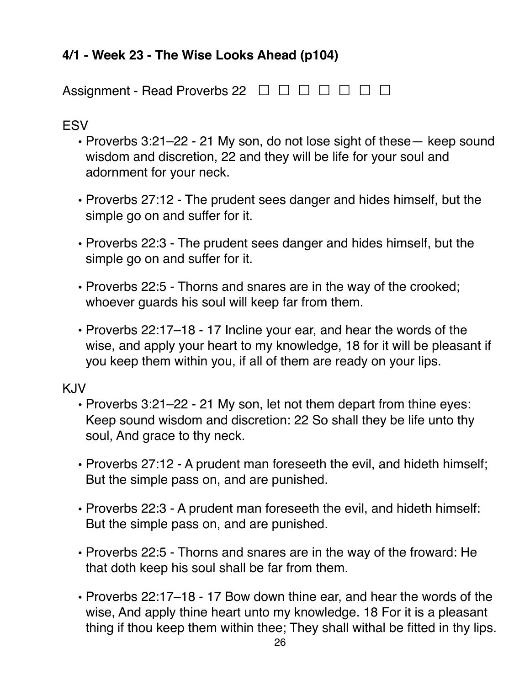# <span id="page-25-0"></span>**4/1 - Week 23 - The Wise Looks Ahead (p104)**

Assignment - Read Proverbs 22  $\Box$   $\Box$   $\Box$   $\Box$   $\Box$   $\Box$   $\Box$ 

#### **FSV**

- **•** Proverbs 3:21–22 21 My son, do not lose sight of these— keep sound wisdom and discretion, 22 and they will be life for your soul and adornment for your neck.
- **•** Proverbs 27:12 The prudent sees danger and hides himself, but the simple go on and suffer for it.
- **•** Proverbs 22:3 The prudent sees danger and hides himself, but the simple go on and suffer for it.
- **•** Proverbs 22:5 Thorns and snares are in the way of the crooked; whoever guards his soul will keep far from them.
- **•** Proverbs 22:17–18 17 Incline your ear, and hear the words of the wise, and apply your heart to my knowledge, 18 for it will be pleasant if you keep them within you, if all of them are ready on your lips.

- **•** Proverbs 3:21–22 21 My son, let not them depart from thine eyes: Keep sound wisdom and discretion: 22 So shall they be life unto thy soul, And grace to thy neck.
- **•** Proverbs 27:12 A prudent man foreseeth the evil, and hideth himself; But the simple pass on, and are punished.
- **•** Proverbs 22:3 A prudent man foreseeth the evil, and hideth himself: But the simple pass on, and are punished.
- **•** Proverbs 22:5 Thorns and snares are in the way of the froward: He that doth keep his soul shall be far from them.
- **•** Proverbs 22:17–18 17 Bow down thine ear, and hear the words of the wise, And apply thine heart unto my knowledge. 18 For it is a pleasant thing if thou keep them within thee; They shall withal be fitted in thy lips.